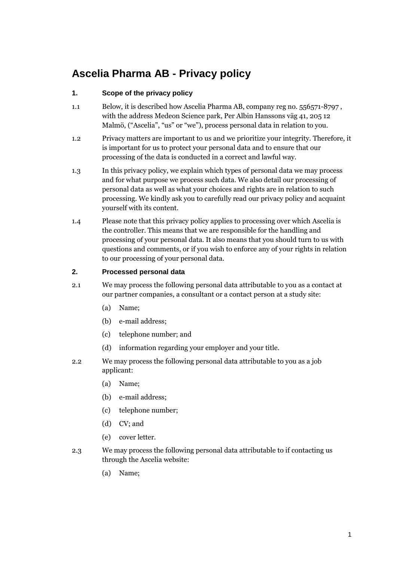# **Ascelia Pharma AB - Privacy policy**

## **1. Scope of the privacy policy**

- 1.1 Below, it is described how Ascelia Pharma AB, company reg no. 556571-8797 , with the address Medeon Science park, Per Albin Hanssons väg 41, 205 12 Malmö, ("Ascelia", "us" or "we"), process personal data in relation to you.
- 1.2 Privacy matters are important to us and we prioritize your integrity. Therefore, it is important for us to protect your personal data and to ensure that our processing of the data is conducted in a correct and lawful way.
- 1.3 In this privacy policy, we explain which types of personal data we may process and for what purpose we process such data. We also detail our processing of personal data as well as what your choices and rights are in relation to such processing. We kindly ask you to carefully read our privacy policy and acquaint yourself with its content.
- 1.4 Please note that this privacy policy applies to processing over which Ascelia is the controller. This means that we are responsible for the handling and processing of your personal data. It also means that you should turn to us with questions and comments, or if you wish to enforce any of your rights in relation to our processing of your personal data.

#### **2. Processed personal data**

- 2.1 We may process the following personal data attributable to you as a contact at our partner companies, a consultant or a contact person at a study site:
	- (a) Name;
	- (b) e-mail address;
	- (c) telephone number; and
	- (d) information regarding your employer and your title.
- 2.2 We may process the following personal data attributable to you as a job applicant:
	- (a) Name;
	- (b) e-mail address;
	- (c) telephone number;
	- (d) CV; and
	- (e) cover letter.
- 2.3 We may process the following personal data attributable to if contacting us through the Ascelia website:
	- (a) Name;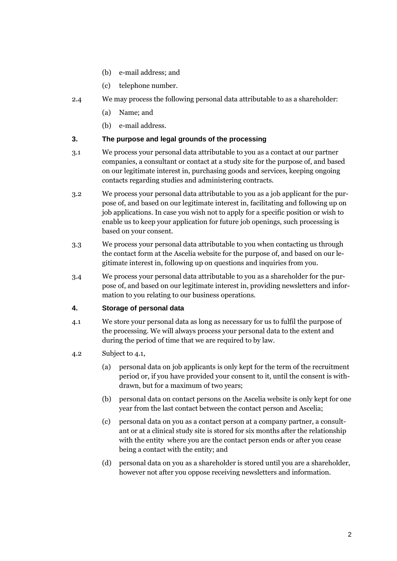- (b) e-mail address; and
- (c) telephone number.
- 2.4 We may process the following personal data attributable to as a shareholder:
	- (a) Name; and
	- (b) e-mail address.

#### **3. The purpose and legal grounds of the processing**

- 3.1 We process your personal data attributable to you as a contact at our partner companies, a consultant or contact at a study site for the purpose of, and based on our legitimate interest in, purchasing goods and services, keeping ongoing contacts regarding studies and administering contracts.
- 3.2 We process your personal data attributable to you as a job applicant for the purpose of, and based on our legitimate interest in, facilitating and following up on job applications. In case you wish not to apply for a specific position or wish to enable us to keep your application for future job openings, such processing is based on your consent.
- 3.3 We process your personal data attributable to you when contacting us through the contact form at the Ascelia website for the purpose of, and based on our legitimate interest in, following up on questions and inquiries from you.
- 3.4 We process your personal data attributable to you as a shareholder for the purpose of, and based on our legitimate interest in, providing newsletters and information to you relating to our business operations.

#### **4. Storage of personal data**

- 4.1 We store your personal data as long as necessary for us to fulfil the purpose of the processing. We will always process your personal data to the extent and during the period of time that we are required to by law.
- 4.2 Subject to 4.1,
	- (a) personal data on job applicants is only kept for the term of the recruitment period or, if you have provided your consent to it, until the consent is withdrawn, but for a maximum of two years;
	- (b) personal data on contact persons on the Ascelia website is only kept for one year from the last contact between the contact person and Ascelia;
	- (c) personal data on you as a contact person at a company partner, a consultant or at a clinical study site is stored for six months after the relationship with the entity where you are the contact person ends or after you cease being a contact with the entity; and
	- (d) personal data on you as a shareholder is stored until you are a shareholder, however not after you oppose receiving newsletters and information.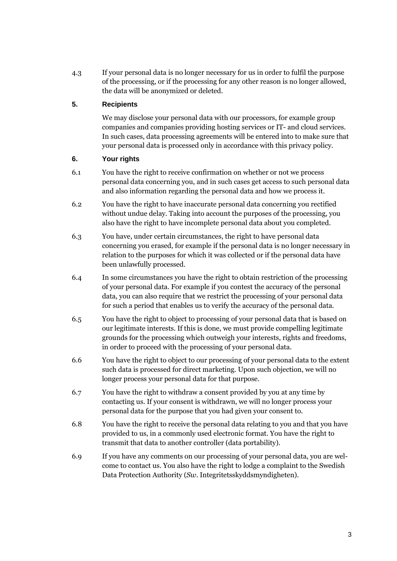4.3 If your personal data is no longer necessary for us in order to fulfil the purpose of the processing, or if the processing for any other reason is no longer allowed, the data will be anonymized or deleted.

## **5. Recipients**

We may disclose your personal data with our processors, for example group companies and companies providing hosting services or IT- and cloud services. In such cases, data processing agreements will be entered into to make sure that your personal data is processed only in accordance with this privacy policy.

## **6. Your rights**

- 6.1 You have the right to receive confirmation on whether or not we process personal data concerning you, and in such cases get access to such personal data and also information regarding the personal data and how we process it.
- 6.2 You have the right to have inaccurate personal data concerning you rectified without undue delay. Taking into account the purposes of the processing, you also have the right to have incomplete personal data about you completed.
- 6.3 You have, under certain circumstances, the right to have personal data concerning you erased, for example if the personal data is no longer necessary in relation to the purposes for which it was collected or if the personal data have been unlawfully processed.
- 6.4 In some circumstances you have the right to obtain restriction of the processing of your personal data. For example if you contest the accuracy of the personal data, you can also require that we restrict the processing of your personal data for such a period that enables us to verify the accuracy of the personal data.
- 6.5 You have the right to object to processing of your personal data that is based on our legitimate interests. If this is done, we must provide compelling legitimate grounds for the processing which outweigh your interests, rights and freedoms, in order to proceed with the processing of your personal data.
- 6.6 You have the right to object to our processing of your personal data to the extent such data is processed for direct marketing. Upon such objection, we will no longer process your personal data for that purpose.
- 6.7 You have the right to withdraw a consent provided by you at any time by contacting us. If your consent is withdrawn, we will no longer process your personal data for the purpose that you had given your consent to.
- 6.8 You have the right to receive the personal data relating to you and that you have provided to us, in a commonly used electronic format. You have the right to transmit that data to another controller (data portability).
- 6.9 If you have any comments on our processing of your personal data, you are welcome to contact us. You also have the right to lodge a complaint to the Swedish Data Protection Authority (*Sw.* Integritetsskyddsmyndigheten).